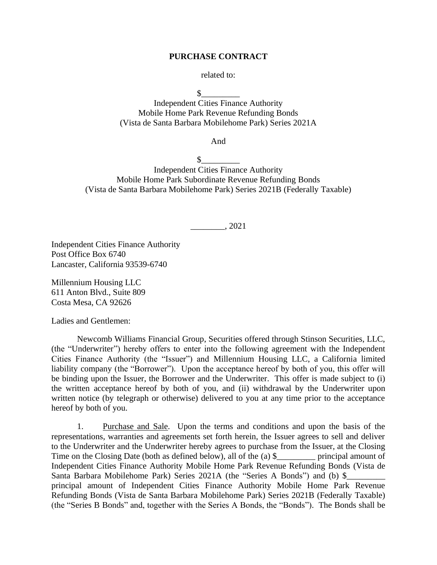### **PURCHASE CONTRACT**

related to:

 $\mathbb S$ 

Independent Cities Finance Authority Mobile Home Park Revenue Refunding Bonds (Vista de Santa Barbara Mobilehome Park) Series 2021A

And

 $\mathbb{S}^-$ Independent Cities Finance Authority Mobile Home Park Subordinate Revenue Refunding Bonds (Vista de Santa Barbara Mobilehome Park) Series 2021B (Federally Taxable)

\_\_\_\_\_\_\_\_, 2021

Independent Cities Finance Authority Post Office Box 6740 Lancaster, California 93539-6740

Millennium Housing LLC 611 Anton Blvd., Suite 809 Costa Mesa, CA 92626

Ladies and Gentlemen:

Newcomb Williams Financial Group, Securities offered through Stinson Securities, LLC, (the "Underwriter") hereby offers to enter into the following agreement with the Independent Cities Finance Authority (the "Issuer") and Millennium Housing LLC, a California limited liability company (the "Borrower"). Upon the acceptance hereof by both of you, this offer will be binding upon the Issuer, the Borrower and the Underwriter. This offer is made subject to (i) the written acceptance hereof by both of you, and (ii) withdrawal by the Underwriter upon written notice (by telegraph or otherwise) delivered to you at any time prior to the acceptance hereof by both of you.

1. Purchase and Sale. Upon the terms and conditions and upon the basis of the representations, warranties and agreements set forth herein, the Issuer agrees to sell and deliver to the Underwriter and the Underwriter hereby agrees to purchase from the Issuer, at the Closing Time on the Closing Date (both as defined below), all of the (a)  $\frac{1}{2}$  principal amount of Independent Cities Finance Authority Mobile Home Park Revenue Refunding Bonds (Vista de Santa Barbara Mobilehome Park) Series 2021A (the "Series A Bonds") and (b) \$ principal amount of Independent Cities Finance Authority Mobile Home Park Revenue Refunding Bonds (Vista de Santa Barbara Mobilehome Park) Series 2021B (Federally Taxable) (the "Series B Bonds" and, together with the Series A Bonds, the "Bonds"). The Bonds shall be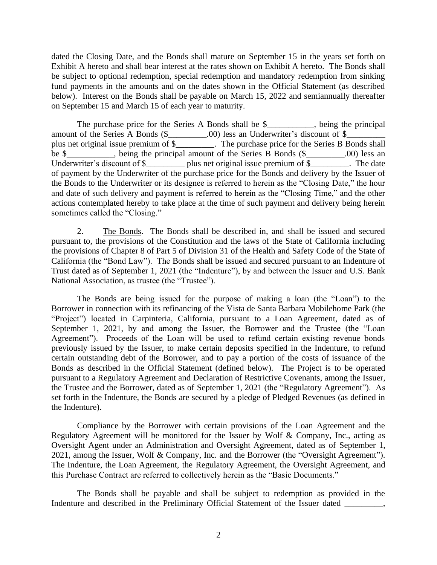dated the Closing Date, and the Bonds shall mature on September 15 in the years set forth on Exhibit A hereto and shall bear interest at the rates shown on Exhibit A hereto. The Bonds shall be subject to optional redemption, special redemption and mandatory redemption from sinking fund payments in the amounts and on the dates shown in the Official Statement (as described below). Interest on the Bonds shall be payable on March 15, 2022 and semiannually thereafter on September 15 and March 15 of each year to maturity.

The purchase price for the Series A Bonds shall be \$\_\_\_\_\_\_\_\_\_\_\_, being the principal amount of the Series A Bonds (\$\_\_\_\_\_\_\_\_\_\_.00) less an Underwriter's discount of \$\_ plus net original issue premium of \$\_\_\_\_\_\_\_\_\_. The purchase price for the Series B Bonds shall be \$\_\_\_\_\_\_\_\_, being the principal amount of the Series B Bonds (\$\_\_\_\_\_\_\_\_\_.00) less an Underwriter's discount of \$\_\_\_\_\_\_\_\_\_ plus net original issue premium of \$\_\_\_\_\_\_\_\_. The date of payment by the Underwriter of the purchase price for the Bonds and delivery by the Issuer of the Bonds to the Underwriter or its designee is referred to herein as the "Closing Date," the hour and date of such delivery and payment is referred to herein as the "Closing Time," and the other actions contemplated hereby to take place at the time of such payment and delivery being herein sometimes called the "Closing."

2. The Bonds. The Bonds shall be described in, and shall be issued and secured pursuant to, the provisions of the Constitution and the laws of the State of California including the provisions of Chapter 8 of Part 5 of Division 31 of the Health and Safety Code of the State of California (the "Bond Law"). The Bonds shall be issued and secured pursuant to an Indenture of Trust dated as of September 1, 2021 (the "Indenture"), by and between the Issuer and U.S. Bank National Association, as trustee (the "Trustee").

The Bonds are being issued for the purpose of making a loan (the "Loan") to the Borrower in connection with its refinancing of the Vista de Santa Barbara Mobilehome Park (the "Project") located in Carpinteria, California, pursuant to a Loan Agreement, dated as of September 1, 2021, by and among the Issuer, the Borrower and the Trustee (the "Loan Agreement"). Proceeds of the Loan will be used to refund certain existing revenue bonds previously issued by the Issuer, to make certain deposits specified in the Indenture, to refund certain outstanding debt of the Borrower, and to pay a portion of the costs of issuance of the Bonds as described in the Official Statement (defined below). The Project is to be operated pursuant to a Regulatory Agreement and Declaration of Restrictive Covenants, among the Issuer, the Trustee and the Borrower, dated as of September 1, 2021 (the "Regulatory Agreement"). As set forth in the Indenture, the Bonds are secured by a pledge of Pledged Revenues (as defined in the Indenture).

Compliance by the Borrower with certain provisions of the Loan Agreement and the Regulatory Agreement will be monitored for the Issuer by Wolf & Company, Inc., acting as Oversight Agent under an Administration and Oversight Agreement, dated as of September 1, 2021, among the Issuer, Wolf & Company, Inc. and the Borrower (the "Oversight Agreement"). The Indenture, the Loan Agreement, the Regulatory Agreement, the Oversight Agreement, and this Purchase Contract are referred to collectively herein as the "Basic Documents."

The Bonds shall be payable and shall be subject to redemption as provided in the Indenture and described in the Preliminary Official Statement of the Issuer dated \_\_\_\_\_\_\_\_,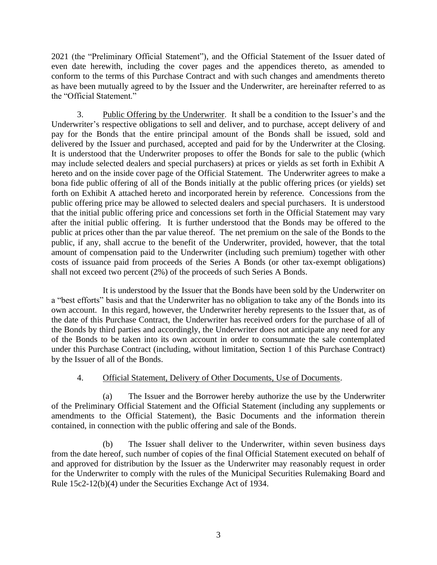2021 (the "Preliminary Official Statement"), and the Official Statement of the Issuer dated of even date herewith, including the cover pages and the appendices thereto, as amended to conform to the terms of this Purchase Contract and with such changes and amendments thereto as have been mutually agreed to by the Issuer and the Underwriter, are hereinafter referred to as the "Official Statement."

3. Public Offering by the Underwriter. It shall be a condition to the Issuer's and the Underwriter's respective obligations to sell and deliver, and to purchase, accept delivery of and pay for the Bonds that the entire principal amount of the Bonds shall be issued, sold and delivered by the Issuer and purchased, accepted and paid for by the Underwriter at the Closing. It is understood that the Underwriter proposes to offer the Bonds for sale to the public (which may include selected dealers and special purchasers) at prices or yields as set forth in Exhibit A hereto and on the inside cover page of the Official Statement. The Underwriter agrees to make a bona fide public offering of all of the Bonds initially at the public offering prices (or yields) set forth on Exhibit A attached hereto and incorporated herein by reference. Concessions from the public offering price may be allowed to selected dealers and special purchasers. It is understood that the initial public offering price and concessions set forth in the Official Statement may vary after the initial public offering. It is further understood that the Bonds may be offered to the public at prices other than the par value thereof. The net premium on the sale of the Bonds to the public, if any, shall accrue to the benefit of the Underwriter, provided, however, that the total amount of compensation paid to the Underwriter (including such premium) together with other costs of issuance paid from proceeds of the Series A Bonds (or other tax-exempt obligations) shall not exceed two percent (2%) of the proceeds of such Series A Bonds.

It is understood by the Issuer that the Bonds have been sold by the Underwriter on a "best efforts" basis and that the Underwriter has no obligation to take any of the Bonds into its own account. In this regard, however, the Underwriter hereby represents to the Issuer that, as of the date of this Purchase Contract, the Underwriter has received orders for the purchase of all of the Bonds by third parties and accordingly, the Underwriter does not anticipate any need for any of the Bonds to be taken into its own account in order to consummate the sale contemplated under this Purchase Contract (including, without limitation, Section 1 of this Purchase Contract) by the Issuer of all of the Bonds.

## 4. Official Statement, Delivery of Other Documents, Use of Documents.

(a) The Issuer and the Borrower hereby authorize the use by the Underwriter of the Preliminary Official Statement and the Official Statement (including any supplements or amendments to the Official Statement), the Basic Documents and the information therein contained, in connection with the public offering and sale of the Bonds.

(b) The Issuer shall deliver to the Underwriter, within seven business days from the date hereof, such number of copies of the final Official Statement executed on behalf of and approved for distribution by the Issuer as the Underwriter may reasonably request in order for the Underwriter to comply with the rules of the Municipal Securities Rulemaking Board and Rule 15c2-12(b)(4) under the Securities Exchange Act of 1934.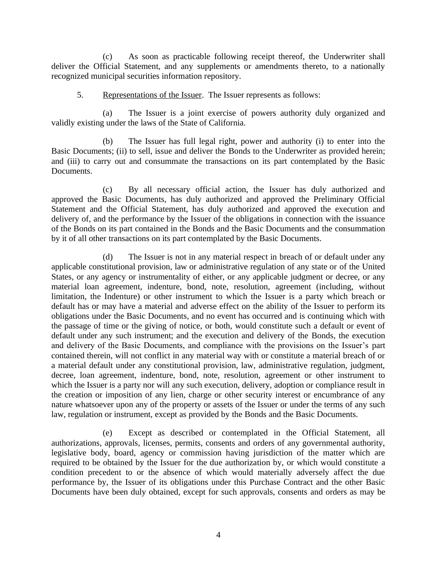(c) As soon as practicable following receipt thereof, the Underwriter shall deliver the Official Statement, and any supplements or amendments thereto, to a nationally recognized municipal securities information repository.

## 5. Representations of the Issuer. The Issuer represents as follows:

(a) The Issuer is a joint exercise of powers authority duly organized and validly existing under the laws of the State of California.

(b) The Issuer has full legal right, power and authority (i) to enter into the Basic Documents; (ii) to sell, issue and deliver the Bonds to the Underwriter as provided herein; and (iii) to carry out and consummate the transactions on its part contemplated by the Basic Documents.

(c) By all necessary official action, the Issuer has duly authorized and approved the Basic Documents, has duly authorized and approved the Preliminary Official Statement and the Official Statement, has duly authorized and approved the execution and delivery of, and the performance by the Issuer of the obligations in connection with the issuance of the Bonds on its part contained in the Bonds and the Basic Documents and the consummation by it of all other transactions on its part contemplated by the Basic Documents.

(d) The Issuer is not in any material respect in breach of or default under any applicable constitutional provision, law or administrative regulation of any state or of the United States, or any agency or instrumentality of either, or any applicable judgment or decree, or any material loan agreement, indenture, bond, note, resolution, agreement (including, without limitation, the Indenture) or other instrument to which the Issuer is a party which breach or default has or may have a material and adverse effect on the ability of the Issuer to perform its obligations under the Basic Documents, and no event has occurred and is continuing which with the passage of time or the giving of notice, or both, would constitute such a default or event of default under any such instrument; and the execution and delivery of the Bonds, the execution and delivery of the Basic Documents, and compliance with the provisions on the Issuer's part contained therein, will not conflict in any material way with or constitute a material breach of or a material default under any constitutional provision, law, administrative regulation, judgment, decree, loan agreement, indenture, bond, note, resolution, agreement or other instrument to which the Issuer is a party nor will any such execution, delivery, adoption or compliance result in the creation or imposition of any lien, charge or other security interest or encumbrance of any nature whatsoever upon any of the property or assets of the Issuer or under the terms of any such law, regulation or instrument, except as provided by the Bonds and the Basic Documents.

(e) Except as described or contemplated in the Official Statement, all authorizations, approvals, licenses, permits, consents and orders of any governmental authority, legislative body, board, agency or commission having jurisdiction of the matter which are required to be obtained by the Issuer for the due authorization by, or which would constitute a condition precedent to or the absence of which would materially adversely affect the due performance by, the Issuer of its obligations under this Purchase Contract and the other Basic Documents have been duly obtained, except for such approvals, consents and orders as may be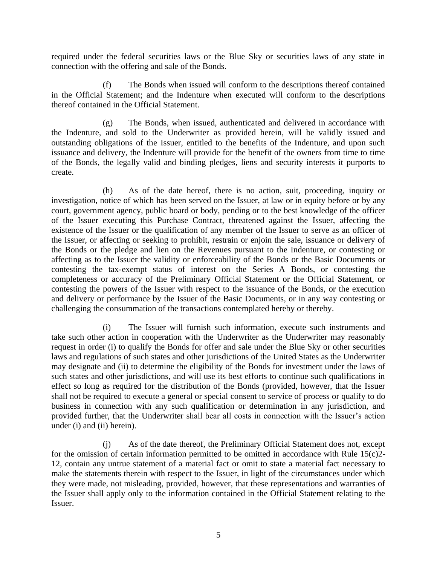required under the federal securities laws or the Blue Sky or securities laws of any state in connection with the offering and sale of the Bonds.

(f) The Bonds when issued will conform to the descriptions thereof contained in the Official Statement; and the Indenture when executed will conform to the descriptions thereof contained in the Official Statement.

(g) The Bonds, when issued, authenticated and delivered in accordance with the Indenture, and sold to the Underwriter as provided herein, will be validly issued and outstanding obligations of the Issuer, entitled to the benefits of the Indenture, and upon such issuance and delivery, the Indenture will provide for the benefit of the owners from time to time of the Bonds, the legally valid and binding pledges, liens and security interests it purports to create.

(h) As of the date hereof, there is no action, suit, proceeding, inquiry or investigation, notice of which has been served on the Issuer, at law or in equity before or by any court, government agency, public board or body, pending or to the best knowledge of the officer of the Issuer executing this Purchase Contract, threatened against the Issuer, affecting the existence of the Issuer or the qualification of any member of the Issuer to serve as an officer of the Issuer, or affecting or seeking to prohibit, restrain or enjoin the sale, issuance or delivery of the Bonds or the pledge and lien on the Revenues pursuant to the Indenture, or contesting or affecting as to the Issuer the validity or enforceability of the Bonds or the Basic Documents or contesting the tax-exempt status of interest on the Series A Bonds, or contesting the completeness or accuracy of the Preliminary Official Statement or the Official Statement, or contesting the powers of the Issuer with respect to the issuance of the Bonds, or the execution and delivery or performance by the Issuer of the Basic Documents, or in any way contesting or challenging the consummation of the transactions contemplated hereby or thereby.

(i) The Issuer will furnish such information, execute such instruments and take such other action in cooperation with the Underwriter as the Underwriter may reasonably request in order (i) to qualify the Bonds for offer and sale under the Blue Sky or other securities laws and regulations of such states and other jurisdictions of the United States as the Underwriter may designate and (ii) to determine the eligibility of the Bonds for investment under the laws of such states and other jurisdictions, and will use its best efforts to continue such qualifications in effect so long as required for the distribution of the Bonds (provided, however, that the Issuer shall not be required to execute a general or special consent to service of process or qualify to do business in connection with any such qualification or determination in any jurisdiction, and provided further, that the Underwriter shall bear all costs in connection with the Issuer's action under (i) and (ii) herein).

(j) As of the date thereof, the Preliminary Official Statement does not, except for the omission of certain information permitted to be omitted in accordance with Rule  $15(c)2$ -12, contain any untrue statement of a material fact or omit to state a material fact necessary to make the statements therein with respect to the Issuer, in light of the circumstances under which they were made, not misleading, provided, however, that these representations and warranties of the Issuer shall apply only to the information contained in the Official Statement relating to the Issuer.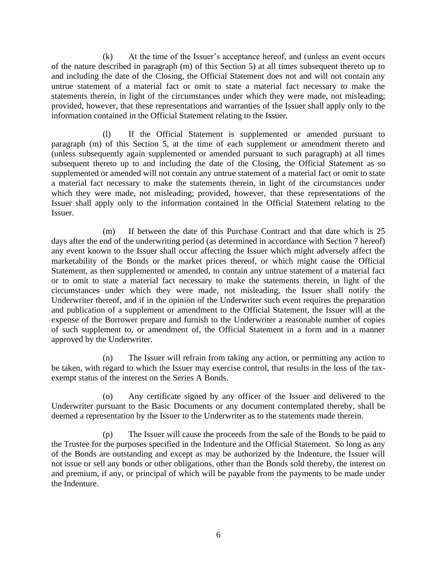(k) At the time of the Issuer's acceptance hereof, and (unless an event occurs of the nature described in paragraph (m) of this Section 5) at all times subsequent thereto up to and including the date of the Closing, the Official Statement does not and will not contain any untrue statement of a material fact or omit to state a material fact necessary to make the statements therein, in light of the circumstances under which they were made, not misleading; provided, however, that these representations and warranties of the Issuer shall apply only to the information contained in the Official Statement relating to the Issuer.

(l) If the Official Statement is supplemented or amended pursuant to paragraph (m) of this Section 5, at the time of each supplement or amendment thereto and (unless subsequently again supplemented or amended pursuant to such paragraph) at all times subsequent thereto up to and including the date of the Closing, the Official Statement as so supplemented or amended will not contain any untrue statement of a material fact or omit to state a material fact necessary to make the statements therein, in light of the circumstances under which they were made, not misleading; provided, however, that these representations of the Issuer shall apply only to the information contained in the Official Statement relating to the Issuer.

(m) If between the date of this Purchase Contract and that date which is 25 days after the end of the underwriting period (as determined in accordance with Section 7 hereof) any event known to the Issuer shall occur affecting the Issuer which might adversely affect the marketability of the Bonds or the market prices thereof, or which might cause the Official Statement, as then supplemented or amended, to contain any untrue statement of a material fact or to omit to state a material fact necessary to make the statements therein, in light of the circumstances under which they were made, not misleading, the Issuer shall notify the Underwriter thereof, and if in the opinion of the Underwriter such event requires the preparation and publication of a supplement or amendment to the Official Statement, the Issuer will at the expense of the Borrower prepare and furnish to the Underwriter a reasonable number of copies of such supplement to, or amendment of, the Official Statement in a form and in a manner approved by the Underwriter.

(n) The Issuer will refrain from taking any action, or permitting any action to be taken, with regard to which the Issuer may exercise control, that results in the loss of the taxexempt status of the interest on the Series A Bonds.

(o) Any certificate signed by any officer of the Issuer and delivered to the Underwriter pursuant to the Basic Documents or any document contemplated thereby, shall be deemed a representation by the Issuer to the Underwriter as to the statements made therein.

(p) The Issuer will cause the proceeds from the sale of the Bonds to be paid to the Trustee for the purposes specified in the Indenture and the Official Statement. So long as any of the Bonds are outstanding and except as may be authorized by the Indenture, the Issuer will not issue or sell any bonds or other obligations, other than the Bonds sold thereby, the interest on and premium, if any, or principal of which will be payable from the payments to be made under the Indenture.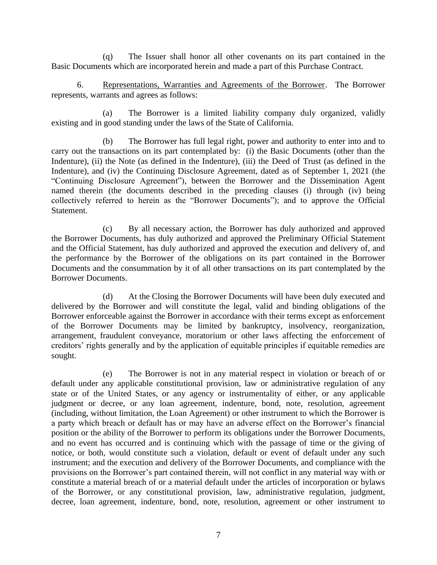(q) The Issuer shall honor all other covenants on its part contained in the Basic Documents which are incorporated herein and made a part of this Purchase Contract.

6. Representations, Warranties and Agreements of the Borrower. The Borrower represents, warrants and agrees as follows:

(a) The Borrower is a limited liability company duly organized, validly existing and in good standing under the laws of the State of California.

(b) The Borrower has full legal right, power and authority to enter into and to carry out the transactions on its part contemplated by: (i) the Basic Documents (other than the Indenture), (ii) the Note (as defined in the Indenture), (iii) the Deed of Trust (as defined in the Indenture), and (iv) the Continuing Disclosure Agreement, dated as of September 1, 2021 (the "Continuing Disclosure Agreement"), between the Borrower and the Dissemination Agent named therein (the documents described in the preceding clauses (i) through (iv) being collectively referred to herein as the "Borrower Documents"); and to approve the Official **Statement** 

(c) By all necessary action, the Borrower has duly authorized and approved the Borrower Documents, has duly authorized and approved the Preliminary Official Statement and the Official Statement, has duly authorized and approved the execution and delivery of, and the performance by the Borrower of the obligations on its part contained in the Borrower Documents and the consummation by it of all other transactions on its part contemplated by the Borrower Documents.

(d) At the Closing the Borrower Documents will have been duly executed and delivered by the Borrower and will constitute the legal, valid and binding obligations of the Borrower enforceable against the Borrower in accordance with their terms except as enforcement of the Borrower Documents may be limited by bankruptcy, insolvency, reorganization, arrangement, fraudulent conveyance, moratorium or other laws affecting the enforcement of creditors' rights generally and by the application of equitable principles if equitable remedies are sought.

(e) The Borrower is not in any material respect in violation or breach of or default under any applicable constitutional provision, law or administrative regulation of any state or of the United States, or any agency or instrumentality of either, or any applicable judgment or decree, or any loan agreement, indenture, bond, note, resolution, agreement (including, without limitation, the Loan Agreement) or other instrument to which the Borrower is a party which breach or default has or may have an adverse effect on the Borrower's financial position or the ability of the Borrower to perform its obligations under the Borrower Documents, and no event has occurred and is continuing which with the passage of time or the giving of notice, or both, would constitute such a violation, default or event of default under any such instrument; and the execution and delivery of the Borrower Documents, and compliance with the provisions on the Borrower's part contained therein, will not conflict in any material way with or constitute a material breach of or a material default under the articles of incorporation or bylaws of the Borrower, or any constitutional provision, law, administrative regulation, judgment, decree, loan agreement, indenture, bond, note, resolution, agreement or other instrument to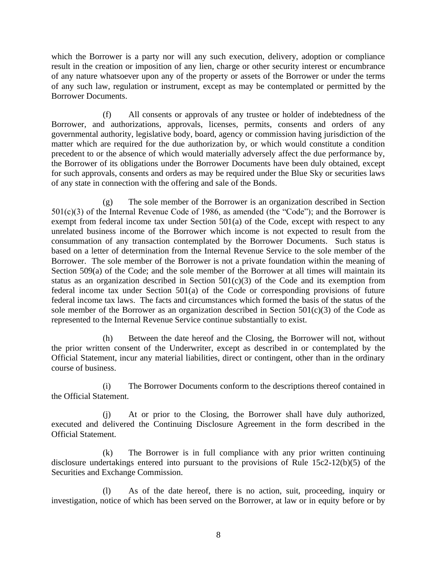which the Borrower is a party nor will any such execution, delivery, adoption or compliance result in the creation or imposition of any lien, charge or other security interest or encumbrance of any nature whatsoever upon any of the property or assets of the Borrower or under the terms of any such law, regulation or instrument, except as may be contemplated or permitted by the Borrower Documents.

(f) All consents or approvals of any trustee or holder of indebtedness of the Borrower, and authorizations, approvals, licenses, permits, consents and orders of any governmental authority, legislative body, board, agency or commission having jurisdiction of the matter which are required for the due authorization by, or which would constitute a condition precedent to or the absence of which would materially adversely affect the due performance by, the Borrower of its obligations under the Borrower Documents have been duly obtained, except for such approvals, consents and orders as may be required under the Blue Sky or securities laws of any state in connection with the offering and sale of the Bonds.

(g) The sole member of the Borrower is an organization described in Section 501(c)(3) of the Internal Revenue Code of 1986, as amended (the "Code"); and the Borrower is exempt from federal income tax under Section 501(a) of the Code, except with respect to any unrelated business income of the Borrower which income is not expected to result from the consummation of any transaction contemplated by the Borrower Documents. Such status is based on a letter of determination from the Internal Revenue Service to the sole member of the Borrower. The sole member of the Borrower is not a private foundation within the meaning of Section 509(a) of the Code; and the sole member of the Borrower at all times will maintain its status as an organization described in Section 501(c)(3) of the Code and its exemption from federal income tax under Section 501(a) of the Code or corresponding provisions of future federal income tax laws. The facts and circumstances which formed the basis of the status of the sole member of the Borrower as an organization described in Section  $501(c)(3)$  of the Code as represented to the Internal Revenue Service continue substantially to exist.

(h) Between the date hereof and the Closing, the Borrower will not, without the prior written consent of the Underwriter, except as described in or contemplated by the Official Statement, incur any material liabilities, direct or contingent, other than in the ordinary course of business.

(i) The Borrower Documents conform to the descriptions thereof contained in the Official Statement.

(j) At or prior to the Closing, the Borrower shall have duly authorized, executed and delivered the Continuing Disclosure Agreement in the form described in the Official Statement.

(k) The Borrower is in full compliance with any prior written continuing disclosure undertakings entered into pursuant to the provisions of Rule 15c2-12(b)(5) of the Securities and Exchange Commission.

(l) As of the date hereof, there is no action, suit, proceeding, inquiry or investigation, notice of which has been served on the Borrower, at law or in equity before or by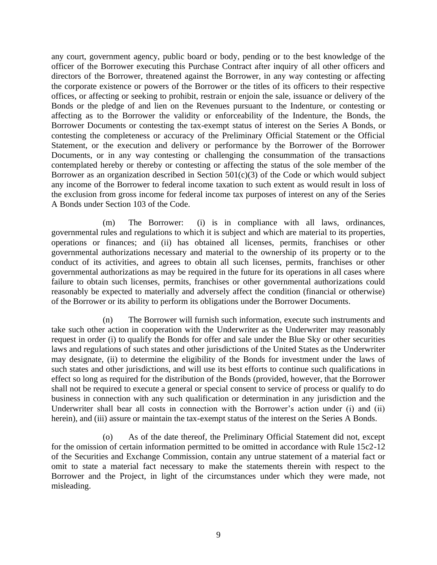any court, government agency, public board or body, pending or to the best knowledge of the officer of the Borrower executing this Purchase Contract after inquiry of all other officers and directors of the Borrower, threatened against the Borrower, in any way contesting or affecting the corporate existence or powers of the Borrower or the titles of its officers to their respective offices, or affecting or seeking to prohibit, restrain or enjoin the sale, issuance or delivery of the Bonds or the pledge of and lien on the Revenues pursuant to the Indenture, or contesting or affecting as to the Borrower the validity or enforceability of the Indenture, the Bonds, the Borrower Documents or contesting the tax-exempt status of interest on the Series A Bonds, or contesting the completeness or accuracy of the Preliminary Official Statement or the Official Statement, or the execution and delivery or performance by the Borrower of the Borrower Documents, or in any way contesting or challenging the consummation of the transactions contemplated hereby or thereby or contesting or affecting the status of the sole member of the Borrower as an organization described in Section 501(c)(3) of the Code or which would subject any income of the Borrower to federal income taxation to such extent as would result in loss of the exclusion from gross income for federal income tax purposes of interest on any of the Series A Bonds under Section 103 of the Code.

(m) The Borrower: (i) is in compliance with all laws, ordinances, governmental rules and regulations to which it is subject and which are material to its properties, operations or finances; and (ii) has obtained all licenses, permits, franchises or other governmental authorizations necessary and material to the ownership of its property or to the conduct of its activities, and agrees to obtain all such licenses, permits, franchises or other governmental authorizations as may be required in the future for its operations in all cases where failure to obtain such licenses, permits, franchises or other governmental authorizations could reasonably be expected to materially and adversely affect the condition (financial or otherwise) of the Borrower or its ability to perform its obligations under the Borrower Documents.

(n) The Borrower will furnish such information, execute such instruments and take such other action in cooperation with the Underwriter as the Underwriter may reasonably request in order (i) to qualify the Bonds for offer and sale under the Blue Sky or other securities laws and regulations of such states and other jurisdictions of the United States as the Underwriter may designate, (ii) to determine the eligibility of the Bonds for investment under the laws of such states and other jurisdictions, and will use its best efforts to continue such qualifications in effect so long as required for the distribution of the Bonds (provided, however, that the Borrower shall not be required to execute a general or special consent to service of process or qualify to do business in connection with any such qualification or determination in any jurisdiction and the Underwriter shall bear all costs in connection with the Borrower's action under (i) and (ii) herein), and (iii) assure or maintain the tax-exempt status of the interest on the Series A Bonds.

(o) As of the date thereof, the Preliminary Official Statement did not, except for the omission of certain information permitted to be omitted in accordance with Rule 15c2-12 of the Securities and Exchange Commission, contain any untrue statement of a material fact or omit to state a material fact necessary to make the statements therein with respect to the Borrower and the Project, in light of the circumstances under which they were made, not misleading.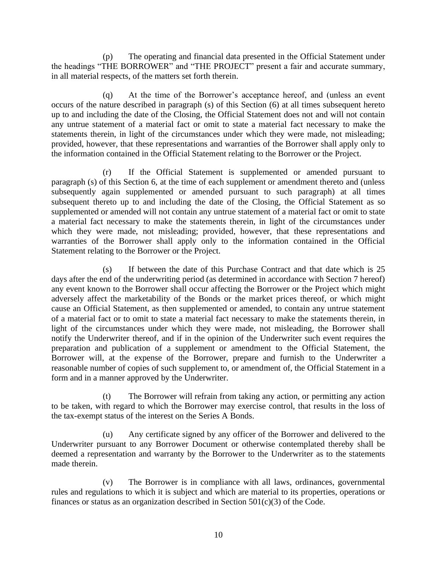(p) The operating and financial data presented in the Official Statement under the headings "THE BORROWER" and "THE PROJECT" present a fair and accurate summary, in all material respects, of the matters set forth therein.

(q) At the time of the Borrower's acceptance hereof, and (unless an event occurs of the nature described in paragraph (s) of this Section (6) at all times subsequent hereto up to and including the date of the Closing, the Official Statement does not and will not contain any untrue statement of a material fact or omit to state a material fact necessary to make the statements therein, in light of the circumstances under which they were made, not misleading; provided, however, that these representations and warranties of the Borrower shall apply only to the information contained in the Official Statement relating to the Borrower or the Project.

(r) If the Official Statement is supplemented or amended pursuant to paragraph (s) of this Section 6, at the time of each supplement or amendment thereto and (unless subsequently again supplemented or amended pursuant to such paragraph) at all times subsequent thereto up to and including the date of the Closing, the Official Statement as so supplemented or amended will not contain any untrue statement of a material fact or omit to state a material fact necessary to make the statements therein, in light of the circumstances under which they were made, not misleading; provided, however, that these representations and warranties of the Borrower shall apply only to the information contained in the Official Statement relating to the Borrower or the Project.

(s) If between the date of this Purchase Contract and that date which is 25 days after the end of the underwriting period (as determined in accordance with Section 7 hereof) any event known to the Borrower shall occur affecting the Borrower or the Project which might adversely affect the marketability of the Bonds or the market prices thereof, or which might cause an Official Statement, as then supplemented or amended, to contain any untrue statement of a material fact or to omit to state a material fact necessary to make the statements therein, in light of the circumstances under which they were made, not misleading, the Borrower shall notify the Underwriter thereof, and if in the opinion of the Underwriter such event requires the preparation and publication of a supplement or amendment to the Official Statement, the Borrower will, at the expense of the Borrower, prepare and furnish to the Underwriter a reasonable number of copies of such supplement to, or amendment of, the Official Statement in a form and in a manner approved by the Underwriter.

(t) The Borrower will refrain from taking any action, or permitting any action to be taken, with regard to which the Borrower may exercise control, that results in the loss of the tax-exempt status of the interest on the Series A Bonds.

(u) Any certificate signed by any officer of the Borrower and delivered to the Underwriter pursuant to any Borrower Document or otherwise contemplated thereby shall be deemed a representation and warranty by the Borrower to the Underwriter as to the statements made therein.

(v) The Borrower is in compliance with all laws, ordinances, governmental rules and regulations to which it is subject and which are material to its properties, operations or finances or status as an organization described in Section  $501(c)(3)$  of the Code.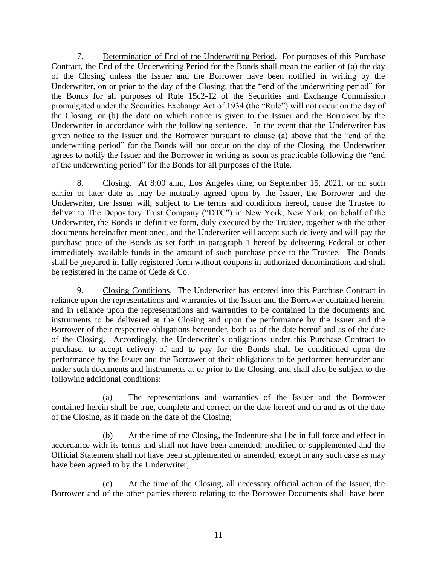7. Determination of End of the Underwriting Period. For purposes of this Purchase Contract, the End of the Underwriting Period for the Bonds shall mean the earlier of (a) the day of the Closing unless the Issuer and the Borrower have been notified in writing by the Underwriter, on or prior to the day of the Closing, that the "end of the underwriting period" for the Bonds for all purposes of Rule 15c2-12 of the Securities and Exchange Commission promulgated under the Securities Exchange Act of 1934 (the "Rule") will not occur on the day of the Closing, or (b) the date on which notice is given to the Issuer and the Borrower by the Underwriter in accordance with the following sentence. In the event that the Underwriter has given notice to the Issuer and the Borrower pursuant to clause (a) above that the "end of the underwriting period" for the Bonds will not occur on the day of the Closing, the Underwriter agrees to notify the Issuer and the Borrower in writing as soon as practicable following the "end of the underwriting period" for the Bonds for all purposes of the Rule.

8. Closing. At 8:00 a.m., Los Angeles time, on September 15, 2021, or on such earlier or later date as may be mutually agreed upon by the Issuer, the Borrower and the Underwriter, the Issuer will, subject to the terms and conditions hereof, cause the Trustee to deliver to The Depository Trust Company ("DTC") in New York, New York, on behalf of the Underwriter, the Bonds in definitive form, duly executed by the Trustee, together with the other documents hereinafter mentioned, and the Underwriter will accept such delivery and will pay the purchase price of the Bonds as set forth in paragraph 1 hereof by delivering Federal or other immediately available funds in the amount of such purchase price to the Trustee. The Bonds shall be prepared in fully registered form without coupons in authorized denominations and shall be registered in the name of Cede & Co.

9. Closing Conditions. The Underwriter has entered into this Purchase Contract in reliance upon the representations and warranties of the Issuer and the Borrower contained herein, and in reliance upon the representations and warranties to be contained in the documents and instruments to be delivered at the Closing and upon the performance by the Issuer and the Borrower of their respective obligations hereunder, both as of the date hereof and as of the date of the Closing. Accordingly, the Underwriter's obligations under this Purchase Contract to purchase, to accept delivery of and to pay for the Bonds shall be conditioned upon the performance by the Issuer and the Borrower of their obligations to be performed hereunder and under such documents and instruments at or prior to the Closing, and shall also be subject to the following additional conditions:

(a) The representations and warranties of the Issuer and the Borrower contained herein shall be true, complete and correct on the date hereof and on and as of the date of the Closing, as if made on the date of the Closing;

(b) At the time of the Closing, the Indenture shall be in full force and effect in accordance with its terms and shall not have been amended, modified or supplemented and the Official Statement shall not have been supplemented or amended, except in any such case as may have been agreed to by the Underwriter;

(c) At the time of the Closing, all necessary official action of the Issuer, the Borrower and of the other parties thereto relating to the Borrower Documents shall have been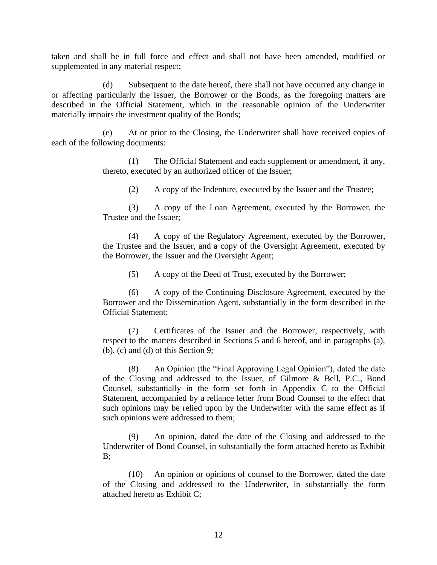taken and shall be in full force and effect and shall not have been amended, modified or supplemented in any material respect;

(d) Subsequent to the date hereof, there shall not have occurred any change in or affecting particularly the Issuer, the Borrower or the Bonds, as the foregoing matters are described in the Official Statement, which in the reasonable opinion of the Underwriter materially impairs the investment quality of the Bonds;

(e) At or prior to the Closing, the Underwriter shall have received copies of each of the following documents:

> (1) The Official Statement and each supplement or amendment, if any, thereto, executed by an authorized officer of the Issuer;

(2) A copy of the Indenture, executed by the Issuer and the Trustee;

(3) A copy of the Loan Agreement, executed by the Borrower, the Trustee and the Issuer;

(4) A copy of the Regulatory Agreement, executed by the Borrower, the Trustee and the Issuer, and a copy of the Oversight Agreement, executed by the Borrower, the Issuer and the Oversight Agent;

(5) A copy of the Deed of Trust, executed by the Borrower;

(6) A copy of the Continuing Disclosure Agreement, executed by the Borrower and the Dissemination Agent, substantially in the form described in the Official Statement;

(7) Certificates of the Issuer and the Borrower, respectively, with respect to the matters described in Sections 5 and 6 hereof, and in paragraphs (a), (b), (c) and (d) of this Section 9;

(8) An Opinion (the "Final Approving Legal Opinion"), dated the date of the Closing and addressed to the Issuer, of Gilmore & Bell, P.C., Bond Counsel, substantially in the form set forth in Appendix C to the Official Statement, accompanied by a reliance letter from Bond Counsel to the effect that such opinions may be relied upon by the Underwriter with the same effect as if such opinions were addressed to them;

(9) An opinion, dated the date of the Closing and addressed to the Underwriter of Bond Counsel, in substantially the form attached hereto as Exhibit  $B$ :

(10) An opinion or opinions of counsel to the Borrower, dated the date of the Closing and addressed to the Underwriter, in substantially the form attached hereto as Exhibit C;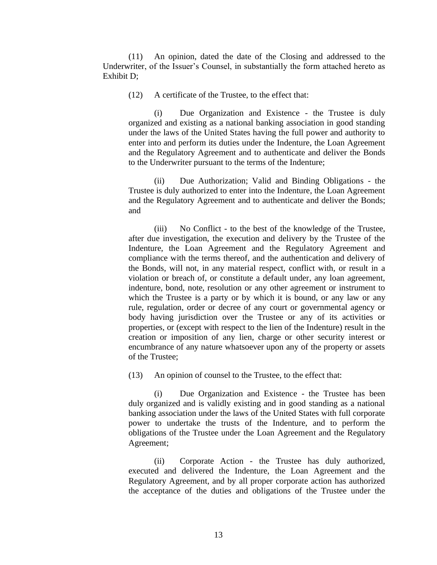(11) An opinion, dated the date of the Closing and addressed to the Underwriter, of the Issuer's Counsel, in substantially the form attached hereto as Exhibit D;

(12) A certificate of the Trustee, to the effect that:

(i) Due Organization and Existence - the Trustee is duly organized and existing as a national banking association in good standing under the laws of the United States having the full power and authority to enter into and perform its duties under the Indenture, the Loan Agreement and the Regulatory Agreement and to authenticate and deliver the Bonds to the Underwriter pursuant to the terms of the Indenture;

(ii) Due Authorization; Valid and Binding Obligations - the Trustee is duly authorized to enter into the Indenture, the Loan Agreement and the Regulatory Agreement and to authenticate and deliver the Bonds; and

(iii) No Conflict - to the best of the knowledge of the Trustee, after due investigation, the execution and delivery by the Trustee of the Indenture, the Loan Agreement and the Regulatory Agreement and compliance with the terms thereof, and the authentication and delivery of the Bonds, will not, in any material respect, conflict with, or result in a violation or breach of, or constitute a default under, any loan agreement, indenture, bond, note, resolution or any other agreement or instrument to which the Trustee is a party or by which it is bound, or any law or any rule, regulation, order or decree of any court or governmental agency or body having jurisdiction over the Trustee or any of its activities or properties, or (except with respect to the lien of the Indenture) result in the creation or imposition of any lien, charge or other security interest or encumbrance of any nature whatsoever upon any of the property or assets of the Trustee;

(13) An opinion of counsel to the Trustee, to the effect that:

(i) Due Organization and Existence - the Trustee has been duly organized and is validly existing and in good standing as a national banking association under the laws of the United States with full corporate power to undertake the trusts of the Indenture, and to perform the obligations of the Trustee under the Loan Agreement and the Regulatory Agreement;

(ii) Corporate Action - the Trustee has duly authorized, executed and delivered the Indenture, the Loan Agreement and the Regulatory Agreement, and by all proper corporate action has authorized the acceptance of the duties and obligations of the Trustee under the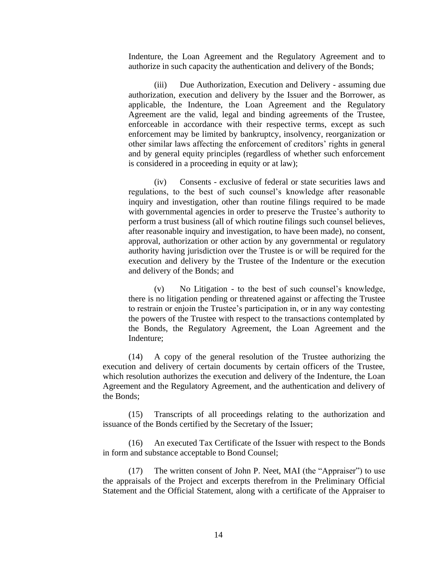Indenture, the Loan Agreement and the Regulatory Agreement and to authorize in such capacity the authentication and delivery of the Bonds;

(iii) Due Authorization, Execution and Delivery - assuming due authorization, execution and delivery by the Issuer and the Borrower, as applicable, the Indenture, the Loan Agreement and the Regulatory Agreement are the valid, legal and binding agreements of the Trustee, enforceable in accordance with their respective terms, except as such enforcement may be limited by bankruptcy, insolvency, reorganization or other similar laws affecting the enforcement of creditors' rights in general and by general equity principles (regardless of whether such enforcement is considered in a proceeding in equity or at law);

(iv) Consents - exclusive of federal or state securities laws and regulations, to the best of such counsel's knowledge after reasonable inquiry and investigation, other than routine filings required to be made with governmental agencies in order to preserve the Trustee's authority to perform a trust business (all of which routine filings such counsel believes, after reasonable inquiry and investigation, to have been made), no consent, approval, authorization or other action by any governmental or regulatory authority having jurisdiction over the Trustee is or will be required for the execution and delivery by the Trustee of the Indenture or the execution and delivery of the Bonds; and

(v) No Litigation - to the best of such counsel's knowledge, there is no litigation pending or threatened against or affecting the Trustee to restrain or enjoin the Trustee's participation in, or in any way contesting the powers of the Trustee with respect to the transactions contemplated by the Bonds, the Regulatory Agreement, the Loan Agreement and the Indenture;

(14) A copy of the general resolution of the Trustee authorizing the execution and delivery of certain documents by certain officers of the Trustee, which resolution authorizes the execution and delivery of the Indenture, the Loan Agreement and the Regulatory Agreement, and the authentication and delivery of the Bonds;

(15) Transcripts of all proceedings relating to the authorization and issuance of the Bonds certified by the Secretary of the Issuer;

(16) An executed Tax Certificate of the Issuer with respect to the Bonds in form and substance acceptable to Bond Counsel;

(17) The written consent of John P. Neet, MAI (the "Appraiser") to use the appraisals of the Project and excerpts therefrom in the Preliminary Official Statement and the Official Statement, along with a certificate of the Appraiser to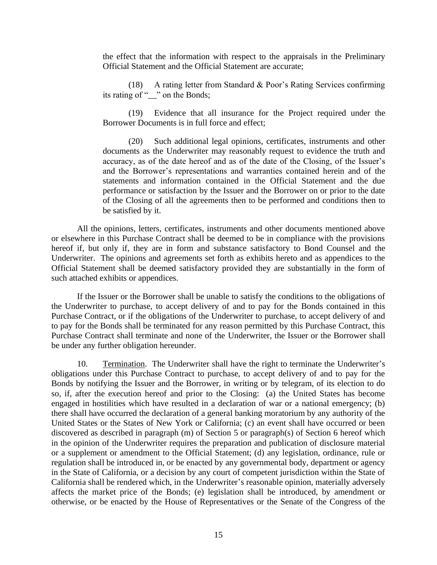the effect that the information with respect to the appraisals in the Preliminary Official Statement and the Official Statement are accurate;

(18) A rating letter from Standard & Poor's Rating Services confirming its rating of "  $\cdots$  on the Bonds;

(19) Evidence that all insurance for the Project required under the Borrower Documents is in full force and effect;

(20) Such additional legal opinions, certificates, instruments and other documents as the Underwriter may reasonably request to evidence the truth and accuracy, as of the date hereof and as of the date of the Closing, of the Issuer's and the Borrower's representations and warranties contained herein and of the statements and information contained in the Official Statement and the due performance or satisfaction by the Issuer and the Borrower on or prior to the date of the Closing of all the agreements then to be performed and conditions then to be satisfied by it.

All the opinions, letters, certificates, instruments and other documents mentioned above or elsewhere in this Purchase Contract shall be deemed to be in compliance with the provisions hereof if, but only if, they are in form and substance satisfactory to Bond Counsel and the Underwriter. The opinions and agreements set forth as exhibits hereto and as appendices to the Official Statement shall be deemed satisfactory provided they are substantially in the form of such attached exhibits or appendices.

If the Issuer or the Borrower shall be unable to satisfy the conditions to the obligations of the Underwriter to purchase, to accept delivery of and to pay for the Bonds contained in this Purchase Contract, or if the obligations of the Underwriter to purchase, to accept delivery of and to pay for the Bonds shall be terminated for any reason permitted by this Purchase Contract, this Purchase Contract shall terminate and none of the Underwriter, the Issuer or the Borrower shall be under any further obligation hereunder.

10. Termination. The Underwriter shall have the right to terminate the Underwriter's obligations under this Purchase Contract to purchase, to accept delivery of and to pay for the Bonds by notifying the Issuer and the Borrower, in writing or by telegram, of its election to do so, if, after the execution hereof and prior to the Closing: (a) the United States has become engaged in hostilities which have resulted in a declaration of war or a national emergency; (b) there shall have occurred the declaration of a general banking moratorium by any authority of the United States or the States of New York or California; (c) an event shall have occurred or been discovered as described in paragraph (m) of Section 5 or paragraph(s) of Section 6 hereof which in the opinion of the Underwriter requires the preparation and publication of disclosure material or a supplement or amendment to the Official Statement; (d) any legislation, ordinance, rule or regulation shall be introduced in, or be enacted by any governmental body, department or agency in the State of California, or a decision by any court of competent jurisdiction within the State of California shall be rendered which, in the Underwriter's reasonable opinion, materially adversely affects the market price of the Bonds; (e) legislation shall be introduced, by amendment or otherwise, or be enacted by the House of Representatives or the Senate of the Congress of the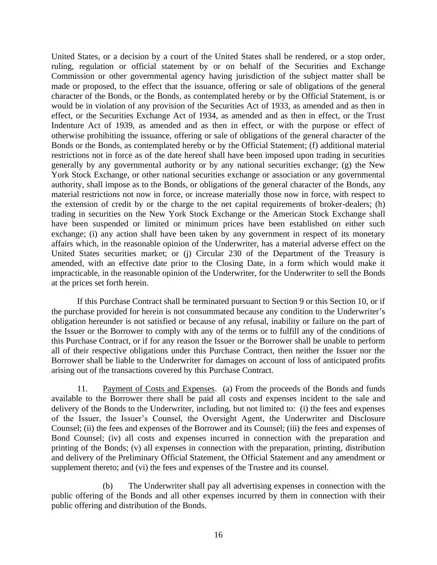United States, or a decision by a court of the United States shall be rendered, or a stop order, ruling, regulation or official statement by or on behalf of the Securities and Exchange Commission or other governmental agency having jurisdiction of the subject matter shall be made or proposed, to the effect that the issuance, offering or sale of obligations of the general character of the Bonds, or the Bonds, as contemplated hereby or by the Official Statement, is or would be in violation of any provision of the Securities Act of 1933, as amended and as then in effect, or the Securities Exchange Act of 1934, as amended and as then in effect, or the Trust Indenture Act of 1939, as amended and as then in effect, or with the purpose or effect of otherwise prohibiting the issuance, offering or sale of obligations of the general character of the Bonds or the Bonds, as contemplated hereby or by the Official Statement; (f) additional material restrictions not in force as of the date hereof shall have been imposed upon trading in securities generally by any governmental authority or by any national securities exchange; (g) the New York Stock Exchange, or other national securities exchange or association or any governmental authority, shall impose as to the Bonds, or obligations of the general character of the Bonds, any material restrictions not now in force, or increase materially those now in force, with respect to the extension of credit by or the charge to the net capital requirements of broker-dealers; (h) trading in securities on the New York Stock Exchange or the American Stock Exchange shall have been suspended or limited or minimum prices have been established on either such exchange; (i) any action shall have been taken by any government in respect of its monetary affairs which, in the reasonable opinion of the Underwriter, has a material adverse effect on the United States securities market; or (j) Circular 230 of the Department of the Treasury is amended, with an effective date prior to the Closing Date, in a form which would make it impracticable, in the reasonable opinion of the Underwriter, for the Underwriter to sell the Bonds at the prices set forth herein.

If this Purchase Contract shall be terminated pursuant to Section 9 or this Section 10, or if the purchase provided for herein is not consummated because any condition to the Underwriter's obligation hereunder is not satisfied or because of any refusal, inability or failure on the part of the Issuer or the Borrower to comply with any of the terms or to fulfill any of the conditions of this Purchase Contract, or if for any reason the Issuer or the Borrower shall be unable to perform all of their respective obligations under this Purchase Contract, then neither the Issuer nor the Borrower shall be liable to the Underwriter for damages on account of loss of anticipated profits arising out of the transactions covered by this Purchase Contract.

11. Payment of Costs and Expenses. (a) From the proceeds of the Bonds and funds available to the Borrower there shall be paid all costs and expenses incident to the sale and delivery of the Bonds to the Underwriter, including, but not limited to: (i) the fees and expenses of the Issuer, the Issuer's Counsel, the Oversight Agent, the Underwriter and Disclosure Counsel; (ii) the fees and expenses of the Borrower and its Counsel; (iii) the fees and expenses of Bond Counsel; (iv) all costs and expenses incurred in connection with the preparation and printing of the Bonds; (v) all expenses in connection with the preparation, printing, distribution and delivery of the Preliminary Official Statement, the Official Statement and any amendment or supplement thereto; and (vi) the fees and expenses of the Trustee and its counsel.

(b) The Underwriter shall pay all advertising expenses in connection with the public offering of the Bonds and all other expenses incurred by them in connection with their public offering and distribution of the Bonds.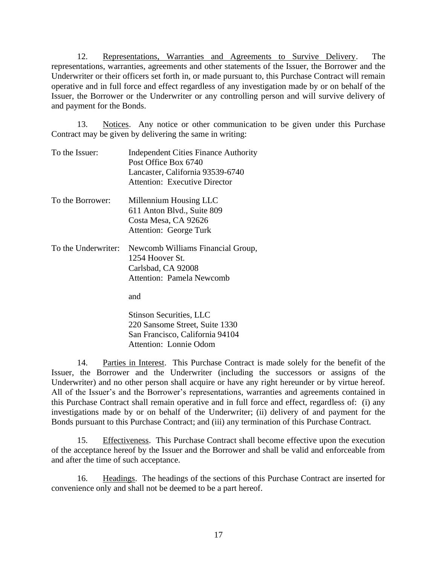12. Representations, Warranties and Agreements to Survive Delivery. The representations, warranties, agreements and other statements of the Issuer, the Borrower and the Underwriter or their officers set forth in, or made pursuant to, this Purchase Contract will remain operative and in full force and effect regardless of any investigation made by or on behalf of the Issuer, the Borrower or the Underwriter or any controlling person and will survive delivery of and payment for the Bonds.

13. Notices. Any notice or other communication to be given under this Purchase Contract may be given by delivering the same in writing:

| To the Issuer:      | <b>Independent Cities Finance Authority</b><br>Post Office Box 6740<br>Lancaster, California 93539-6740 |
|---------------------|---------------------------------------------------------------------------------------------------------|
|                     | <b>Attention: Executive Director</b>                                                                    |
| To the Borrower:    | Millennium Housing LLC<br>611 Anton Blvd., Suite 809<br>Costa Mesa, CA 92626<br>Attention: George Turk  |
| To the Underwriter: | Newcomb Williams Financial Group,<br>1254 Hoover St.<br>Carlsbad, CA 92008<br>Attention: Pamela Newcomb |
|                     | and                                                                                                     |
|                     | Stinson Securities, LLC                                                                                 |

220 Sansome Street, Suite 1330 San Francisco, California 94104 Attention: Lonnie Odom

14. Parties in Interest. This Purchase Contract is made solely for the benefit of the Issuer, the Borrower and the Underwriter (including the successors or assigns of the Underwriter) and no other person shall acquire or have any right hereunder or by virtue hereof. All of the Issuer's and the Borrower's representations, warranties and agreements contained in this Purchase Contract shall remain operative and in full force and effect, regardless of: (i) any investigations made by or on behalf of the Underwriter; (ii) delivery of and payment for the Bonds pursuant to this Purchase Contract; and (iii) any termination of this Purchase Contract.

15. Effectiveness. This Purchase Contract shall become effective upon the execution of the acceptance hereof by the Issuer and the Borrower and shall be valid and enforceable from and after the time of such acceptance.

16. Headings. The headings of the sections of this Purchase Contract are inserted for convenience only and shall not be deemed to be a part hereof.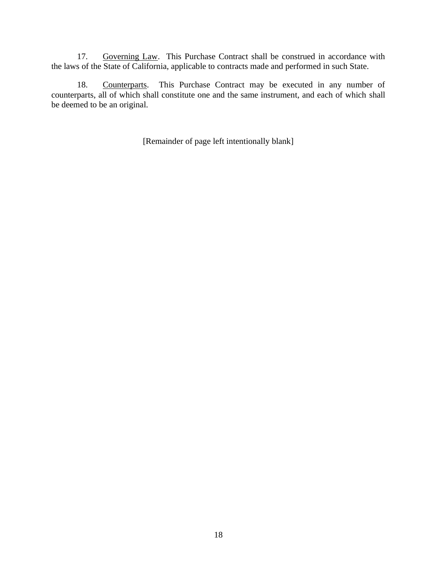17. Governing Law. This Purchase Contract shall be construed in accordance with the laws of the State of California, applicable to contracts made and performed in such State.

18. Counterparts. This Purchase Contract may be executed in any number of counterparts, all of which shall constitute one and the same instrument, and each of which shall be deemed to be an original.

[Remainder of page left intentionally blank]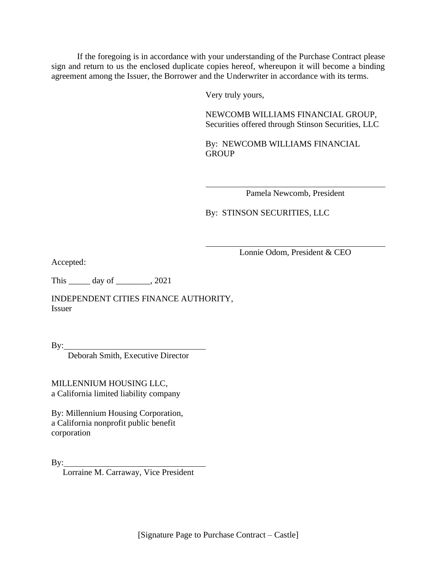If the foregoing is in accordance with your understanding of the Purchase Contract please sign and return to us the enclosed duplicate copies hereof, whereupon it will become a binding agreement among the Issuer, the Borrower and the Underwriter in accordance with its terms.

Very truly yours,

NEWCOMB WILLIAMS FINANCIAL GROUP, Securities offered through Stinson Securities, LLC

By: NEWCOMB WILLIAMS FINANCIAL **GROUP** 

Pamela Newcomb, President

By: STINSON SECURITIES, LLC

Lonnie Odom, President & CEO

Accepted:

This \_\_\_\_\_ day of \_\_\_\_\_\_\_\_, 2021

INDEPENDENT CITIES FINANCE AUTHORITY, Issuer

By:

Deborah Smith, Executive Director

MILLENNIUM HOUSING LLC, a California limited liability company

By: Millennium Housing Corporation, a California nonprofit public benefit corporation

 $\mathbf{By:}$ 

Lorraine M. Carraway, Vice President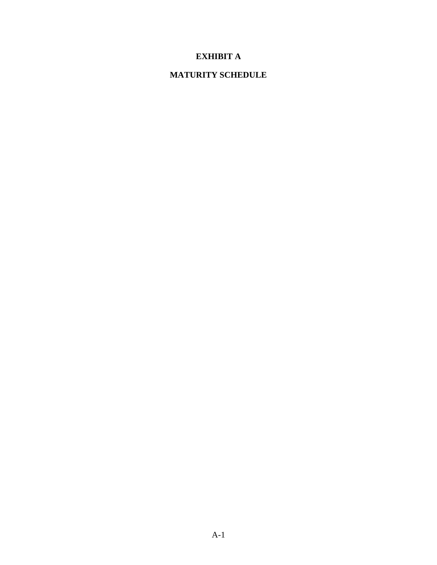# **EXHIBIT A**

## **MATURITY SCHEDULE**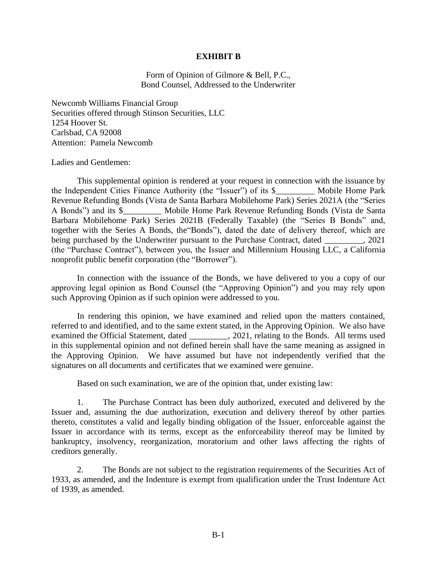### **EXHIBIT B**

Form of Opinion of Gilmore & Bell, P.C., Bond Counsel, Addressed to the Underwriter

Newcomb Williams Financial Group Securities offered through Stinson Securities, LLC 1254 Hoover St. Carlsbad, CA 92008 Attention: Pamela Newcomb

Ladies and Gentlemen:

This supplemental opinion is rendered at your request in connection with the issuance by the Independent Cities Finance Authority (the "Issuer") of its \$\_\_\_\_\_\_\_\_\_ Mobile Home Park Revenue Refunding Bonds (Vista de Santa Barbara Mobilehome Park) Series 2021A (the "Series A Bonds") and its \$\_\_\_\_\_\_\_\_\_ Mobile Home Park Revenue Refunding Bonds (Vista de Santa Barbara Mobilehome Park) Series 2021B (Federally Taxable) (the "Series B Bonds" and, together with the Series A Bonds, the"Bonds"), dated the date of delivery thereof, which are being purchased by the Underwriter pursuant to the Purchase Contract, dated . 2021 (the "Purchase Contract"), between you, the Issuer and Millennium Housing LLC, a California nonprofit public benefit corporation (the "Borrower").

In connection with the issuance of the Bonds, we have delivered to you a copy of our approving legal opinion as Bond Counsel (the "Approving Opinion") and you may rely upon such Approving Opinion as if such opinion were addressed to you.

In rendering this opinion, we have examined and relied upon the matters contained, referred to and identified, and to the same extent stated, in the Approving Opinion. We also have examined the Official Statement, dated \_\_\_\_\_\_\_\_\_, 2021, relating to the Bonds. All terms used in this supplemental opinion and not defined herein shall have the same meaning as assigned in the Approving Opinion. We have assumed but have not independently verified that the signatures on all documents and certificates that we examined were genuine.

Based on such examination, we are of the opinion that, under existing law:

1. The Purchase Contract has been duly authorized, executed and delivered by the Issuer and, assuming the due authorization, execution and delivery thereof by other parties thereto, constitutes a valid and legally binding obligation of the Issuer, enforceable against the Issuer in accordance with its terms, except as the enforceability thereof may be limited by bankruptcy, insolvency, reorganization, moratorium and other laws affecting the rights of creditors generally.

2. The Bonds are not subject to the registration requirements of the Securities Act of 1933, as amended, and the Indenture is exempt from qualification under the Trust Indenture Act of 1939, as amended.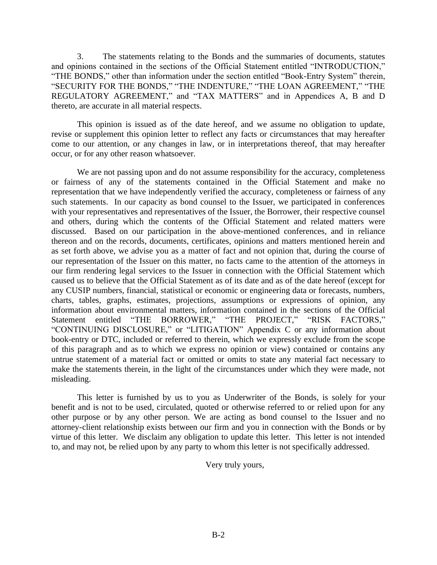3. The statements relating to the Bonds and the summaries of documents, statutes and opinions contained in the sections of the Official Statement entitled "INTRODUCTION," "THE BONDS," other than information under the section entitled "Book-Entry System" therein, "SECURITY FOR THE BONDS," "THE INDENTURE," "THE LOAN AGREEMENT," "THE REGULATORY AGREEMENT," and "TAX MATTERS" and in Appendices A, B and D thereto, are accurate in all material respects.

This opinion is issued as of the date hereof, and we assume no obligation to update, revise or supplement this opinion letter to reflect any facts or circumstances that may hereafter come to our attention, or any changes in law, or in interpretations thereof, that may hereafter occur, or for any other reason whatsoever.

We are not passing upon and do not assume responsibility for the accuracy, completeness or fairness of any of the statements contained in the Official Statement and make no representation that we have independently verified the accuracy, completeness or fairness of any such statements. In our capacity as bond counsel to the Issuer, we participated in conferences with your representatives and representatives of the Issuer, the Borrower, their respective counsel and others, during which the contents of the Official Statement and related matters were discussed. Based on our participation in the above-mentioned conferences, and in reliance thereon and on the records, documents, certificates, opinions and matters mentioned herein and as set forth above, we advise you as a matter of fact and not opinion that, during the course of our representation of the Issuer on this matter, no facts came to the attention of the attorneys in our firm rendering legal services to the Issuer in connection with the Official Statement which caused us to believe that the Official Statement as of its date and as of the date hereof (except for any CUSIP numbers, financial, statistical or economic or engineering data or forecasts, numbers, charts, tables, graphs, estimates, projections, assumptions or expressions of opinion, any information about environmental matters, information contained in the sections of the Official Statement entitled "THE BORROWER," "THE PROJECT," "RISK FACTORS," "CONTINUING DISCLOSURE," or "LITIGATION" Appendix C or any information about book-entry or DTC, included or referred to therein, which we expressly exclude from the scope of this paragraph and as to which we express no opinion or view) contained or contains any untrue statement of a material fact or omitted or omits to state any material fact necessary to make the statements therein, in the light of the circumstances under which they were made, not misleading.

This letter is furnished by us to you as Underwriter of the Bonds, is solely for your benefit and is not to be used, circulated, quoted or otherwise referred to or relied upon for any other purpose or by any other person. We are acting as bond counsel to the Issuer and no attorney-client relationship exists between our firm and you in connection with the Bonds or by virtue of this letter. We disclaim any obligation to update this letter. This letter is not intended to, and may not, be relied upon by any party to whom this letter is not specifically addressed.

Very truly yours,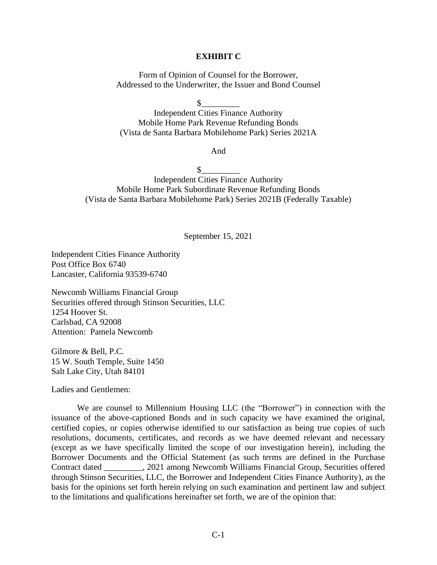### **EXHIBIT C**

Form of Opinion of Counsel for the Borrower, Addressed to the Underwriter, the Issuer and Bond Counsel

 $\frac{1}{2}$ 

Independent Cities Finance Authority Mobile Home Park Revenue Refunding Bonds (Vista de Santa Barbara Mobilehome Park) Series 2021A

And

 $\frac{1}{2}$ 

Independent Cities Finance Authority Mobile Home Park Subordinate Revenue Refunding Bonds (Vista de Santa Barbara Mobilehome Park) Series 2021B (Federally Taxable)

September 15, 2021

Independent Cities Finance Authority Post Office Box 6740 Lancaster, California 93539-6740

Newcomb Williams Financial Group Securities offered through Stinson Securities, LLC 1254 Hoover St. Carlsbad, CA 92008 Attention: Pamela Newcomb

Gilmore & Bell, P.C. 15 W. South Temple, Suite 1450 Salt Lake City, Utah 84101

Ladies and Gentlemen:

We are counsel to Millennium Housing LLC (the "Borrower") in connection with the issuance of the above-captioned Bonds and in such capacity we have examined the original, certified copies, or copies otherwise identified to our satisfaction as being true copies of such resolutions, documents, certificates, and records as we have deemed relevant and necessary (except as we have specifically limited the scope of our investigation herein), including the Borrower Documents and the Official Statement (as such terms are defined in the Purchase Contract dated \_\_\_\_\_\_\_\_\_, 2021 among Newcomb Williams Financial Group, Securities offered through Stinson Securities, LLC, the Borrower and Independent Cities Finance Authority), as the basis for the opinions set forth herein relying on such examination and pertinent law and subject to the limitations and qualifications hereinafter set forth, we are of the opinion that: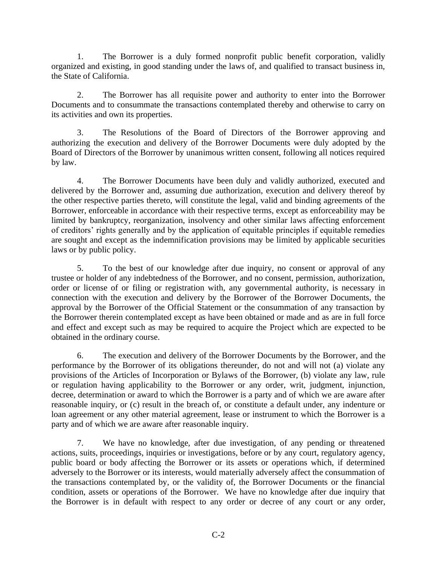1. The Borrower is a duly formed nonprofit public benefit corporation, validly organized and existing, in good standing under the laws of, and qualified to transact business in, the State of California.

2. The Borrower has all requisite power and authority to enter into the Borrower Documents and to consummate the transactions contemplated thereby and otherwise to carry on its activities and own its properties.

3. The Resolutions of the Board of Directors of the Borrower approving and authorizing the execution and delivery of the Borrower Documents were duly adopted by the Board of Directors of the Borrower by unanimous written consent, following all notices required by law.

4. The Borrower Documents have been duly and validly authorized, executed and delivered by the Borrower and, assuming due authorization, execution and delivery thereof by the other respective parties thereto, will constitute the legal, valid and binding agreements of the Borrower, enforceable in accordance with their respective terms, except as enforceability may be limited by bankruptcy, reorganization, insolvency and other similar laws affecting enforcement of creditors' rights generally and by the application of equitable principles if equitable remedies are sought and except as the indemnification provisions may be limited by applicable securities laws or by public policy.

5. To the best of our knowledge after due inquiry, no consent or approval of any trustee or holder of any indebtedness of the Borrower, and no consent, permission, authorization, order or license of or filing or registration with, any governmental authority, is necessary in connection with the execution and delivery by the Borrower of the Borrower Documents, the approval by the Borrower of the Official Statement or the consummation of any transaction by the Borrower therein contemplated except as have been obtained or made and as are in full force and effect and except such as may be required to acquire the Project which are expected to be obtained in the ordinary course.

6. The execution and delivery of the Borrower Documents by the Borrower, and the performance by the Borrower of its obligations thereunder, do not and will not (a) violate any provisions of the Articles of Incorporation or Bylaws of the Borrower, (b) violate any law, rule or regulation having applicability to the Borrower or any order, writ, judgment, injunction, decree, determination or award to which the Borrower is a party and of which we are aware after reasonable inquiry, or (c) result in the breach of, or constitute a default under, any indenture or loan agreement or any other material agreement, lease or instrument to which the Borrower is a party and of which we are aware after reasonable inquiry.

7. We have no knowledge, after due investigation, of any pending or threatened actions, suits, proceedings, inquiries or investigations, before or by any court, regulatory agency, public board or body affecting the Borrower or its assets or operations which, if determined adversely to the Borrower or its interests, would materially adversely affect the consummation of the transactions contemplated by, or the validity of, the Borrower Documents or the financial condition, assets or operations of the Borrower. We have no knowledge after due inquiry that the Borrower is in default with respect to any order or decree of any court or any order,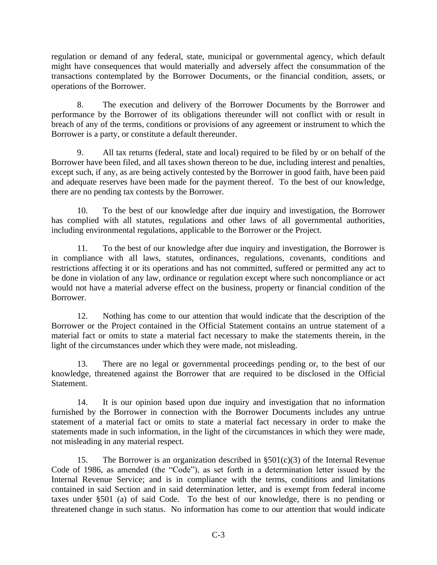regulation or demand of any federal, state, municipal or governmental agency, which default might have consequences that would materially and adversely affect the consummation of the transactions contemplated by the Borrower Documents, or the financial condition, assets, or operations of the Borrower.

8. The execution and delivery of the Borrower Documents by the Borrower and performance by the Borrower of its obligations thereunder will not conflict with or result in breach of any of the terms, conditions or provisions of any agreement or instrument to which the Borrower is a party, or constitute a default thereunder.

9. All tax returns (federal, state and local) required to be filed by or on behalf of the Borrower have been filed, and all taxes shown thereon to be due, including interest and penalties, except such, if any, as are being actively contested by the Borrower in good faith, have been paid and adequate reserves have been made for the payment thereof. To the best of our knowledge, there are no pending tax contests by the Borrower.

10. To the best of our knowledge after due inquiry and investigation, the Borrower has complied with all statutes, regulations and other laws of all governmental authorities, including environmental regulations, applicable to the Borrower or the Project.

11. To the best of our knowledge after due inquiry and investigation, the Borrower is in compliance with all laws, statutes, ordinances, regulations, covenants, conditions and restrictions affecting it or its operations and has not committed, suffered or permitted any act to be done in violation of any law, ordinance or regulation except where such noncompliance or act would not have a material adverse effect on the business, property or financial condition of the Borrower.

12. Nothing has come to our attention that would indicate that the description of the Borrower or the Project contained in the Official Statement contains an untrue statement of a material fact or omits to state a material fact necessary to make the statements therein, in the light of the circumstances under which they were made, not misleading.

13. There are no legal or governmental proceedings pending or, to the best of our knowledge, threatened against the Borrower that are required to be disclosed in the Official Statement.

14. It is our opinion based upon due inquiry and investigation that no information furnished by the Borrower in connection with the Borrower Documents includes any untrue statement of a material fact or omits to state a material fact necessary in order to make the statements made in such information, in the light of the circumstances in which they were made, not misleading in any material respect.

15. The Borrower is an organization described in  $\S501(c)(3)$  of the Internal Revenue Code of 1986, as amended (the "Code"), as set forth in a determination letter issued by the Internal Revenue Service; and is in compliance with the terms, conditions and limitations contained in said Section and in said determination letter, and is exempt from federal income taxes under §501 (a) of said Code. To the best of our knowledge, there is no pending or threatened change in such status. No information has come to our attention that would indicate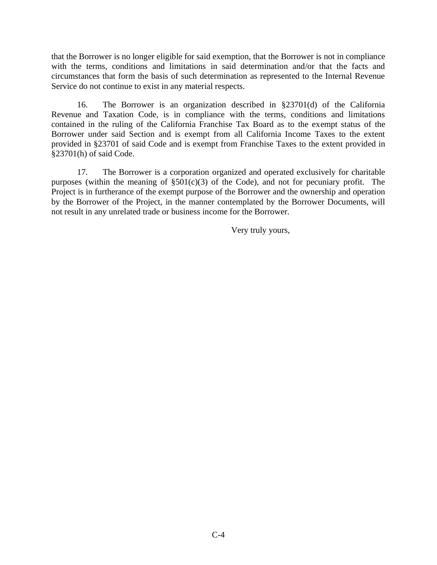that the Borrower is no longer eligible for said exemption, that the Borrower is not in compliance with the terms, conditions and limitations in said determination and/or that the facts and circumstances that form the basis of such determination as represented to the Internal Revenue Service do not continue to exist in any material respects.

16. The Borrower is an organization described in §23701(d) of the California Revenue and Taxation Code, is in compliance with the terms, conditions and limitations contained in the ruling of the California Franchise Tax Board as to the exempt status of the Borrower under said Section and is exempt from all California Income Taxes to the extent provided in §23701 of said Code and is exempt from Franchise Taxes to the extent provided in §23701(h) of said Code.

17. The Borrower is a corporation organized and operated exclusively for charitable purposes (within the meaning of  $\S501(c)(3)$  of the Code), and not for pecuniary profit. The Project is in furtherance of the exempt purpose of the Borrower and the ownership and operation by the Borrower of the Project, in the manner contemplated by the Borrower Documents, will not result in any unrelated trade or business income for the Borrower.

Very truly yours,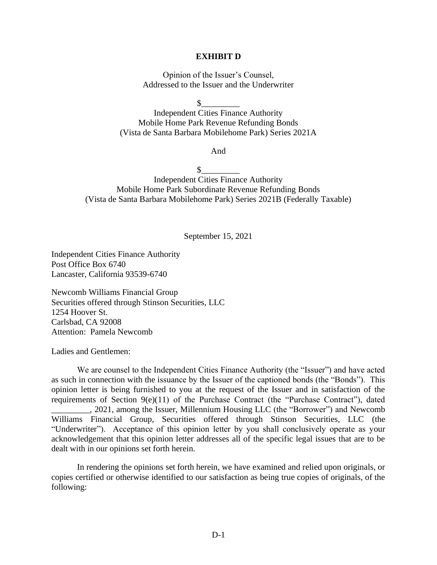### **EXHIBIT D**

Opinion of the Issuer's Counsel, Addressed to the Issuer and the Underwriter

 $\frac{1}{2}$ 

Independent Cities Finance Authority Mobile Home Park Revenue Refunding Bonds (Vista de Santa Barbara Mobilehome Park) Series 2021A

And

 $\mathbb{S}$ 

Independent Cities Finance Authority Mobile Home Park Subordinate Revenue Refunding Bonds (Vista de Santa Barbara Mobilehome Park) Series 2021B (Federally Taxable)

September 15, 2021

Independent Cities Finance Authority Post Office Box 6740 Lancaster, California 93539-6740

Newcomb Williams Financial Group Securities offered through Stinson Securities, LLC 1254 Hoover St. Carlsbad, CA 92008 Attention: Pamela Newcomb

Ladies and Gentlemen:

We are counsel to the Independent Cities Finance Authority (the "Issuer") and have acted as such in connection with the issuance by the Issuer of the captioned bonds (the "Bonds"). This opinion letter is being furnished to you at the request of the Issuer and in satisfaction of the requirements of Section 9(e)(11) of the Purchase Contract (the "Purchase Contract"), dated \_\_\_\_\_\_\_\_\_, 2021, among the Issuer, Millennium Housing LLC (the "Borrower") and Newcomb Williams Financial Group, Securities offered through Stinson Securities, LLC (the "Underwriter"). Acceptance of this opinion letter by you shall conclusively operate as your acknowledgement that this opinion letter addresses all of the specific legal issues that are to be dealt with in our opinions set forth herein.

In rendering the opinions set forth herein, we have examined and relied upon originals, or copies certified or otherwise identified to our satisfaction as being true copies of originals, of the following: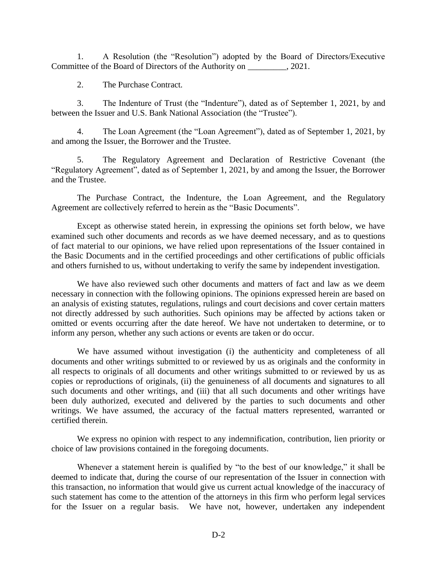1. A Resolution (the "Resolution") adopted by the Board of Directors/Executive Committee of the Board of Directors of the Authority on \_\_\_\_\_\_\_\_\_, 2021.

2. The Purchase Contract.

3. The Indenture of Trust (the "Indenture"), dated as of September 1, 2021, by and between the Issuer and U.S. Bank National Association (the "Trustee").

4. The Loan Agreement (the "Loan Agreement"), dated as of September 1, 2021, by and among the Issuer, the Borrower and the Trustee.

5. The Regulatory Agreement and Declaration of Restrictive Covenant (the "Regulatory Agreement", dated as of September 1, 2021, by and among the Issuer, the Borrower and the Trustee.

The Purchase Contract, the Indenture, the Loan Agreement, and the Regulatory Agreement are collectively referred to herein as the "Basic Documents".

Except as otherwise stated herein, in expressing the opinions set forth below, we have examined such other documents and records as we have deemed necessary, and as to questions of fact material to our opinions, we have relied upon representations of the Issuer contained in the Basic Documents and in the certified proceedings and other certifications of public officials and others furnished to us, without undertaking to verify the same by independent investigation.

We have also reviewed such other documents and matters of fact and law as we deem necessary in connection with the following opinions. The opinions expressed herein are based on an analysis of existing statutes, regulations, rulings and court decisions and cover certain matters not directly addressed by such authorities. Such opinions may be affected by actions taken or omitted or events occurring after the date hereof. We have not undertaken to determine, or to inform any person, whether any such actions or events are taken or do occur.

We have assumed without investigation (i) the authenticity and completeness of all documents and other writings submitted to or reviewed by us as originals and the conformity in all respects to originals of all documents and other writings submitted to or reviewed by us as copies or reproductions of originals, (ii) the genuineness of all documents and signatures to all such documents and other writings, and (iii) that all such documents and other writings have been duly authorized, executed and delivered by the parties to such documents and other writings. We have assumed, the accuracy of the factual matters represented, warranted or certified therein.

We express no opinion with respect to any indemnification, contribution, lien priority or choice of law provisions contained in the foregoing documents.

Whenever a statement herein is qualified by "to the best of our knowledge," it shall be deemed to indicate that, during the course of our representation of the Issuer in connection with this transaction, no information that would give us current actual knowledge of the inaccuracy of such statement has come to the attention of the attorneys in this firm who perform legal services for the Issuer on a regular basis. We have not, however, undertaken any independent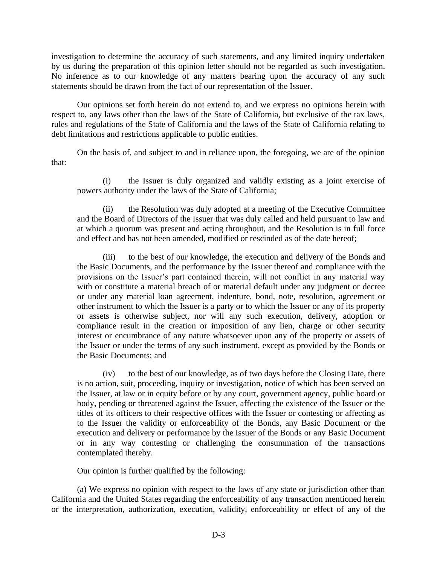investigation to determine the accuracy of such statements, and any limited inquiry undertaken by us during the preparation of this opinion letter should not be regarded as such investigation. No inference as to our knowledge of any matters bearing upon the accuracy of any such statements should be drawn from the fact of our representation of the Issuer.

Our opinions set forth herein do not extend to, and we express no opinions herein with respect to, any laws other than the laws of the State of California, but exclusive of the tax laws, rules and regulations of the State of California and the laws of the State of California relating to debt limitations and restrictions applicable to public entities.

On the basis of, and subject to and in reliance upon, the foregoing, we are of the opinion that:

(i) the Issuer is duly organized and validly existing as a joint exercise of powers authority under the laws of the State of California;

(ii) the Resolution was duly adopted at a meeting of the Executive Committee and the Board of Directors of the Issuer that was duly called and held pursuant to law and at which a quorum was present and acting throughout, and the Resolution is in full force and effect and has not been amended, modified or rescinded as of the date hereof;

(iii) to the best of our knowledge, the execution and delivery of the Bonds and the Basic Documents, and the performance by the Issuer thereof and compliance with the provisions on the Issuer's part contained therein, will not conflict in any material way with or constitute a material breach of or material default under any judgment or decree or under any material loan agreement, indenture, bond, note, resolution, agreement or other instrument to which the Issuer is a party or to which the Issuer or any of its property or assets is otherwise subject, nor will any such execution, delivery, adoption or compliance result in the creation or imposition of any lien, charge or other security interest or encumbrance of any nature whatsoever upon any of the property or assets of the Issuer or under the terms of any such instrument, except as provided by the Bonds or the Basic Documents; and

(iv) to the best of our knowledge, as of two days before the Closing Date, there is no action, suit, proceeding, inquiry or investigation, notice of which has been served on the Issuer, at law or in equity before or by any court, government agency, public board or body, pending or threatened against the Issuer, affecting the existence of the Issuer or the titles of its officers to their respective offices with the Issuer or contesting or affecting as to the Issuer the validity or enforceability of the Bonds, any Basic Document or the execution and delivery or performance by the Issuer of the Bonds or any Basic Document or in any way contesting or challenging the consummation of the transactions contemplated thereby.

Our opinion is further qualified by the following:

(a) We express no opinion with respect to the laws of any state or jurisdiction other than California and the United States regarding the enforceability of any transaction mentioned herein or the interpretation, authorization, execution, validity, enforceability or effect of any of the